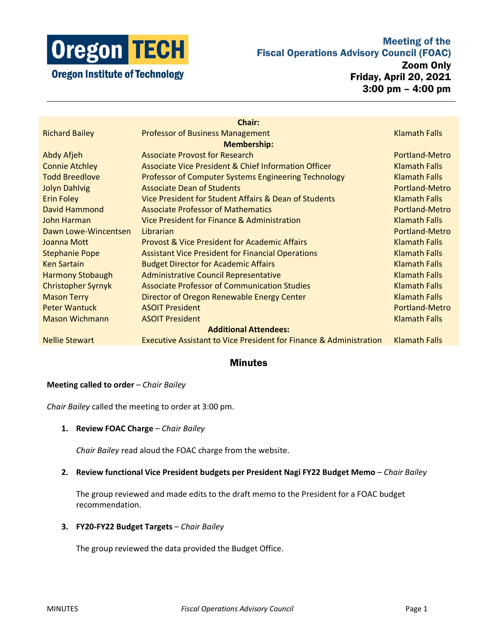

## Meeting of the Fiscal Operations Advisory Council (FOAC)

Zoom Only Friday, April 20, 2021 3:00 pm – 4:00 pm

| <b>Chair:</b>                |                                                                               |                       |
|------------------------------|-------------------------------------------------------------------------------|-----------------------|
| <b>Richard Bailey</b>        | <b>Professor of Business Management</b>                                       | <b>Klamath Falls</b>  |
| <b>Membership:</b>           |                                                                               |                       |
| Abdy Afjeh                   | <b>Associate Provost for Research</b>                                         | Portland-Metro        |
| <b>Connie Atchley</b>        | Associate Vice President & Chief Information Officer                          | <b>Klamath Falls</b>  |
| <b>Todd Breedlove</b>        | <b>Professor of Computer Systems Engineering Technology</b>                   | <b>Klamath Falls</b>  |
| <b>Jolyn Dahlvig</b>         | <b>Associate Dean of Students</b>                                             | <b>Portland-Metro</b> |
| <b>Erin Foley</b>            | Vice President for Student Affairs & Dean of Students                         | <b>Klamath Falls</b>  |
| David Hammond                | <b>Associate Professor of Mathematics</b>                                     | Portland-Metro        |
| John Harman                  | Vice President for Finance & Administration                                   | <b>Klamath Falls</b>  |
| Dawn Lowe-Wincentsen         | Librarian                                                                     | <b>Portland-Metro</b> |
| Joanna Mott                  | <b>Provost &amp; Vice President for Academic Affairs</b>                      | <b>Klamath Falls</b>  |
| <b>Stephanie Pope</b>        | <b>Assistant Vice President for Financial Operations</b>                      | <b>Klamath Falls</b>  |
| <b>Ken Sartain</b>           | <b>Budget Director for Academic Affairs</b>                                   | <b>Klamath Falls</b>  |
| <b>Harmony Stobaugh</b>      | <b>Administrative Council Representative</b>                                  | <b>Klamath Falls</b>  |
| <b>Christopher Syrnyk</b>    | <b>Associate Professor of Communication Studies</b>                           | <b>Klamath Falls</b>  |
| <b>Mason Terry</b>           | Director of Oregon Renewable Energy Center                                    | <b>Klamath Falls</b>  |
| <b>Peter Wantuck</b>         | <b>ASOIT President</b>                                                        | Portland-Metro        |
| <b>Mason Wichmann</b>        | <b>ASOIT President</b>                                                        | <b>Klamath Falls</b>  |
| <b>Additional Attendees:</b> |                                                                               |                       |
| <b>Nellie Stewart</b>        | <b>Executive Assistant to Vice President for Finance &amp; Administration</b> | <b>Klamath Falls</b>  |

## Minutes

### **Meeting called to order** – *Chair Bailey*

*Chair Bailey* called the meeting to order at 3:00 pm.

#### **1. Review FOAC Charge** – *Chair Bailey*

*Chair Bailey* read aloud the FOAC charge from the website.

#### **2. Review functional Vice President budgets per President Nagi FY22 Budget Memo** – *Chair Bailey*

The group reviewed and made edits to the draft memo to the President for a FOAC budget recommendation.

## **3. FY20-FY22 Budget Targets** – *Chair Bailey*

The group reviewed the data provided the Budget Office.